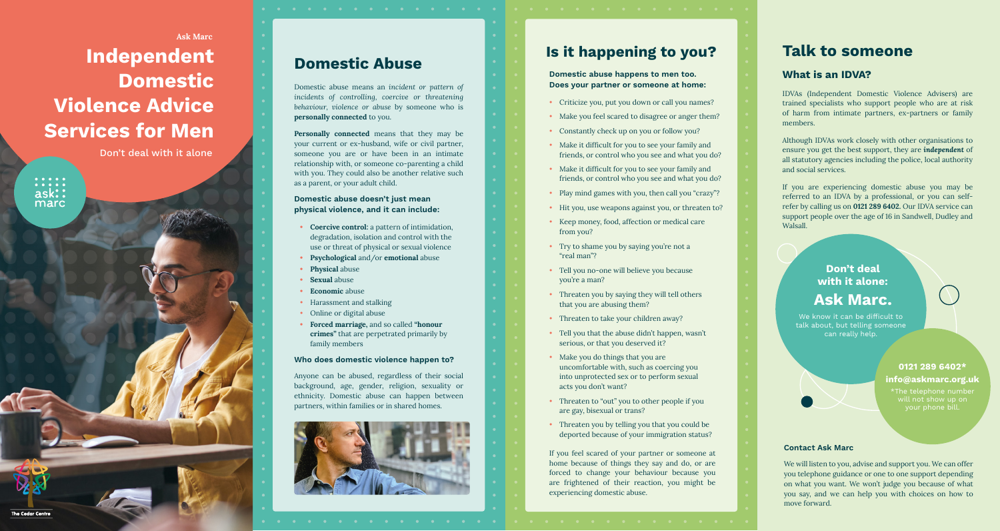# **Independent Domestic Violence Advice Services for Men** Ask Marc

Don't deal with it alone

 $\begin{array}{cccccccccccccc} \bullet & \bullet & \bullet & \bullet & \bullet & \bullet & \bullet \end{array}$  $\frac{...}{\text{ask}}$ marc

**The Cedar Centre** 

# **Domestic Abuse**

Domestic abuse means an *incident or pattern of incidents of controlling, coercive or threatening behaviour, violence or abuse* by someone who is personally connected to you.

Personally connected means that they may be your current or ex-husband, wife or civil partner, someone you are or have been in an intimate relationship with, or someone co-parenting a child with you. They could also be another relative such as a parent, or your adult child.

**Domestic abuse doesn't just mean physical violence, and it can include:**

- degradation, isolation and control with the use or threat of physical or sexual violence
- Psychological and/or emotional abuse
- **Physical** abuse
- Sexual abuse
- Economic abuse
- Harassment and stalking
- Online or digital abuse

• Forced marriage, and so called "honour crimes" that are perpetrated primarily by family members

#### **Who does domestic violence happen to?**

Anyone can be abused, regardless of their social background, age, gender, religion, sexuality or ethnicity. Domestic abuse can happen between • Coercive control: a pattern of intimidation, degradation, isolation and control with the use or threat of physical or sexual violence • Psychological and/or emotional abuse • Physical abuse • Sexual abuse • Conomic abuse



# **Is it happening to you?**

**Domestic abuse happens to men too. Does your partner or someone at home:**

- 
- 
- 
- Make it difficult for you to see your family and friends, or control who you see and what you do?
- Make it difficult for you to see your family and friends, or control who you see and what you do?
- 
- 
- from you?
- Try to shame you by saying you're not a "real man"?
- Tell you no-one will believe you because you're a man?
- Threaten you by saying they will tell others that you are abusing them?
- Threaten to take your children away?
- Tell you that the abuse didn't happen, wasn't serious, or that you deserved it?
- Make you do things that you are uncomfortable with, such as coercing you into unprotected sex or to perform sexual acts you don't want?
- Threaten to "out" you to other people if you are gay, bisexual or trans?
- Threaten you by telling you that you could be deported because of your immigration status?

If you feel scared of your partner or someone at home because of things they say and do, or are forced to change your behaviour because you are frightened of their reaction, you might be • Criticize you, put you down or call you names?<br>
• Make you feel scared to disagree or anger them?<br>
• Make it difficult for you to see your family and<br>
friends, or control who you see and what you do?<br>
• Make it difficu

# **Talk to someone**

#### **What is an IDVA?**

IDVAs (Independent Domestic Violence Advisers) are trained specialists who support people who are at risk of harm from intimate partners, ex-partners or family members.

Although IDVAs work closely with other organisations to ensure you get the best support, they are *independent* of all statutory agencies including the police, local authority and social services.

If you are experiencing domestic abuse you may be referred to an IDVA by a professional, or you can selfrefer by calling us on 0121 289 6402. Our IDVA service can support people over the age of 16 in Sandwell, Dudley and Walsall.

### **Don't deal with it alone: Ask Marc.**

We know it can be difficult to talk about, but telling someone can really help.

> **0121 289 6402\* info@askmarc.org.uk**

\*The telephone number

#### **Contact Ask Marc**

We will listen to you, advise and support you. We can offer you telephone guidance or one to one support depending on what you want. We won't judge you because of what you say, and we can help you with choices on how to move forward.